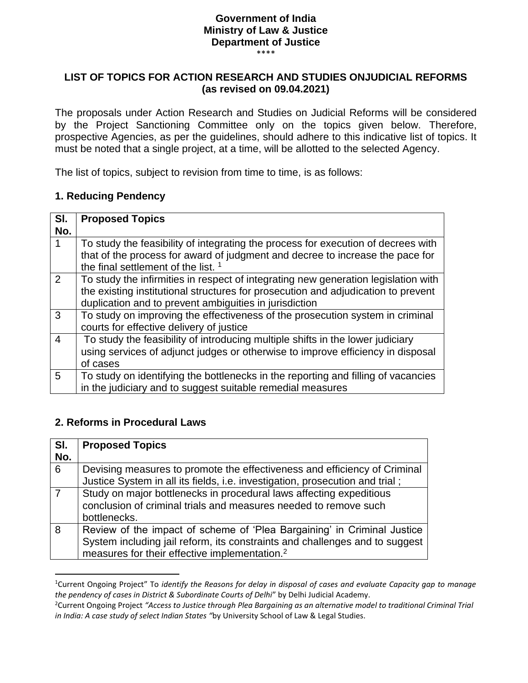## **Government of India Ministry of Law & Justice Department of Justice**

\*\*\*\*

#### **LIST OF TOPICS FOR ACTION RESEARCH AND STUDIES ONJUDICIAL REFORMS (as revised on 09.04.2021)**

The proposals under Action Research and Studies on Judicial Reforms will be considered by the Project Sanctioning Committee only on the topics given below. Therefore, prospective Agencies, as per the guidelines, should adhere to this indicative list of topics. It must be noted that a single project, at a time, will be allotted to the selected Agency.

The list of topics, subject to revision from time to time, is as follows:

#### **1. Reducing Pendency**

| SI.            | <b>Proposed Topics</b>                                                             |
|----------------|------------------------------------------------------------------------------------|
| No.            |                                                                                    |
|                | To study the feasibility of integrating the process for execution of decrees with  |
|                | that of the process for award of judgment and decree to increase the pace for      |
|                | the final settlement of the list. <sup>1</sup>                                     |
| 2              | To study the infirmities in respect of integrating new generation legislation with |
|                | the existing institutional structures for prosecution and adjudication to prevent  |
|                | duplication and to prevent ambiguities in jurisdiction                             |
| 3              | To study on improving the effectiveness of the prosecution system in criminal      |
|                | courts for effective delivery of justice                                           |
| $\overline{4}$ | To study the feasibility of introducing multiple shifts in the lower judiciary     |
|                | using services of adjunct judges or otherwise to improve efficiency in disposal    |
|                | of cases                                                                           |
| 5              | To study on identifying the bottlenecks in the reporting and filling of vacancies  |
|                | in the judiciary and to suggest suitable remedial measures                         |

### **2. Reforms in Procedural Laws**

| SI.             | <b>Proposed Topics</b>                                                                                                                                                                                              |
|-----------------|---------------------------------------------------------------------------------------------------------------------------------------------------------------------------------------------------------------------|
| No.             |                                                                                                                                                                                                                     |
| $6\overline{6}$ | Devising measures to promote the effectiveness and efficiency of Criminal<br>Justice System in all its fields, i.e. investigation, prosecution and trial;                                                           |
| $\overline{7}$  | Study on major bottlenecks in procedural laws affecting expeditious<br>conclusion of criminal trials and measures needed to remove such<br>bottlenecks.                                                             |
| 8               | Review of the impact of scheme of 'Plea Bargaining' in Criminal Justice<br>System including jail reform, its constraints and challenges and to suggest<br>measures for their effective implementation. <sup>2</sup> |

<sup>1</sup>Current Ongoing Project" To *identify the Reasons for delay in disposal of cases and evaluate Capacity gap to manage the pendency of cases in District & Subordinate Courts of Delhi*" by Delhi Judicial Academy.

<sup>2</sup>Current Ongoing Project *"Access to Justice through Plea Bargaining as an alternative model to traditional Criminal Trial in India: A case study of select Indian States "*by University School of Law & Legal Studies.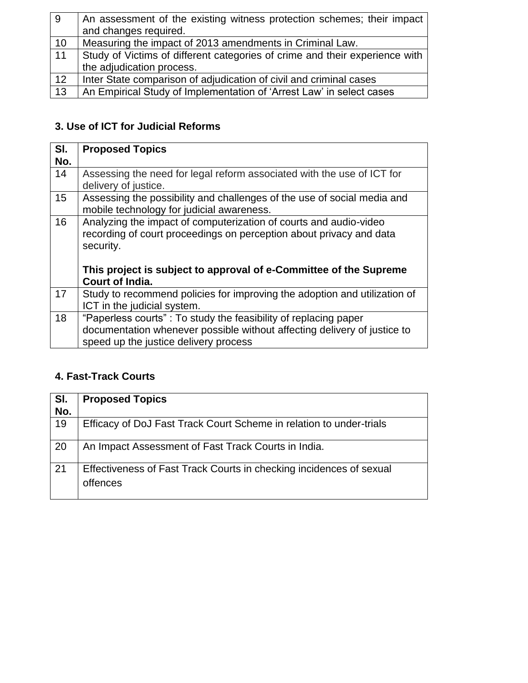| 9  | An assessment of the existing witness protection schemes; their impact      |
|----|-----------------------------------------------------------------------------|
|    | and changes required.                                                       |
| 10 | Measuring the impact of 2013 amendments in Criminal Law.                    |
| 11 | Study of Victims of different categories of crime and their experience with |
|    | the adjudication process.                                                   |
| 12 | Inter State comparison of adjudication of civil and criminal cases          |
| 13 | An Empirical Study of Implementation of 'Arrest Law' in select cases        |

# **3. Use of ICT for Judicial Reforms**

| SI.<br>No. | <b>Proposed Topics</b>                                                                                                                                                                                                                        |
|------------|-----------------------------------------------------------------------------------------------------------------------------------------------------------------------------------------------------------------------------------------------|
| 14         | Assessing the need for legal reform associated with the use of ICT for<br>delivery of justice.                                                                                                                                                |
| 15         | Assessing the possibility and challenges of the use of social media and<br>mobile technology for judicial awareness.                                                                                                                          |
| 16         | Analyzing the impact of computerization of courts and audio-video<br>recording of court proceedings on perception about privacy and data<br>security.<br>This project is subject to approval of e-Committee of the Supreme<br>Court of India. |
| 17         | Study to recommend policies for improving the adoption and utilization of<br>ICT in the judicial system.                                                                                                                                      |
| 18         | "Paperless courts": To study the feasibility of replacing paper<br>documentation whenever possible without affecting delivery of justice to<br>speed up the justice delivery process                                                          |

# **4. Fast-Track Courts**

| SI.<br>No. | <b>Proposed Topics</b>                                                          |
|------------|---------------------------------------------------------------------------------|
| 19         | Efficacy of DoJ Fast Track Court Scheme in relation to under-trials             |
| 20         | An Impact Assessment of Fast Track Courts in India.                             |
| 21         | Effectiveness of Fast Track Courts in checking incidences of sexual<br>offences |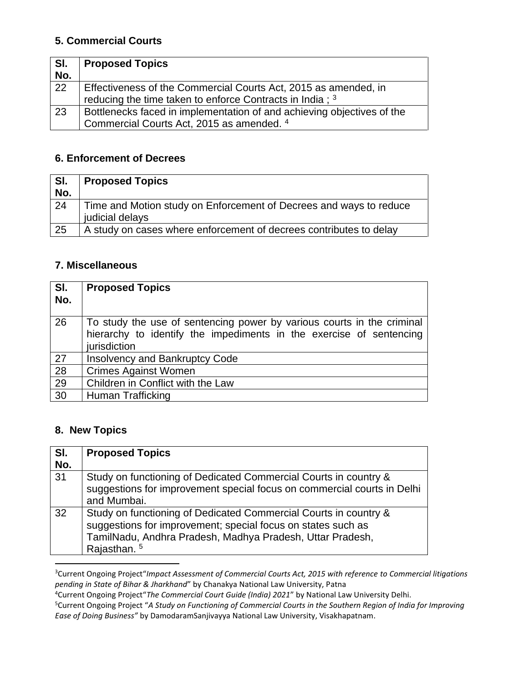## **5. Commercial Courts**

| SI.<br>No. | <b>Proposed Topics</b>                                                 |
|------------|------------------------------------------------------------------------|
| 22         | Effectiveness of the Commercial Courts Act, 2015 as amended, in        |
|            |                                                                        |
|            | reducing the time taken to enforce Contracts in India ; 3              |
| 23         | Bottlenecks faced in implementation of and achieving objectives of the |
|            | Commercial Courts Act, 2015 as amended. 4                              |

### **6. Enforcement of Decrees**

| SI.<br>No. | <b>Proposed Topics</b>                                                                |
|------------|---------------------------------------------------------------------------------------|
| 24         | Time and Motion study on Enforcement of Decrees and ways to reduce<br>judicial delays |
| 25         | A study on cases where enforcement of decrees contributes to delay                    |

### **7. Miscellaneous**

| SI.<br>No.      | <b>Proposed Topics</b>                                                                                                                                        |
|-----------------|---------------------------------------------------------------------------------------------------------------------------------------------------------------|
| 26              | To study the use of sentencing power by various courts in the criminal<br>hierarchy to identify the impediments in the exercise of sentencing<br>jurisdiction |
| 27              | <b>Insolvency and Bankruptcy Code</b>                                                                                                                         |
| 28              | <b>Crimes Against Women</b>                                                                                                                                   |
| 29              | Children in Conflict with the Law                                                                                                                             |
| $\overline{30}$ | Human Trafficking                                                                                                                                             |

## **8. New Topics**

| SI. | <b>Proposed Topics</b>                                                                                                                                                                                                   |
|-----|--------------------------------------------------------------------------------------------------------------------------------------------------------------------------------------------------------------------------|
| No. |                                                                                                                                                                                                                          |
| 31  | Study on functioning of Dedicated Commercial Courts in country &<br>suggestions for improvement special focus on commercial courts in Delhi<br>and Mumbai.                                                               |
| 32  | Study on functioning of Dedicated Commercial Courts in country &<br>suggestions for improvement; special focus on states such as<br>TamilNadu, Andhra Pradesh, Madhya Pradesh, Uttar Pradesh,<br>Rajasthan. <sup>5</sup> |

<sup>3</sup>Current Ongoing Project"*Impact Assessment of Commercial Courts Act, 2015 with reference to Commercial litigations pending in State of Bihar & Jharkhand*" by Chanakya National Law University, Patna

<sup>4</sup>Current Ongoing Project"*The Commercial Court Guide (India) 2021*" by National Law University Delhi.

<sup>5</sup>Current Ongoing Project "*A Study on Functioning of Commercial Courts in the Southern Region of India for Improving Ease of Doing Business"* by DamodaramSanjivayya National Law University, Visakhapatnam.